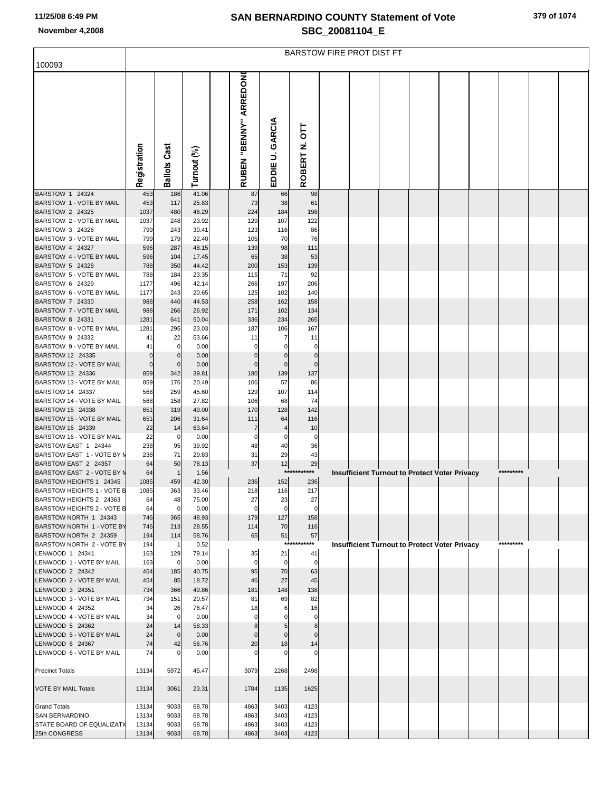## **SAN BERNARDINO COUNTY Statement of Vote November 4,2008 SBC\_20081104\_E**

| 100093                                                | <b>BARSTOW FIRE PROT DIST FT</b> |                     |                |  |                        |                    |                        |  |  |  |  |                                                      |  |           |  |  |
|-------------------------------------------------------|----------------------------------|---------------------|----------------|--|------------------------|--------------------|------------------------|--|--|--|--|------------------------------------------------------|--|-----------|--|--|
|                                                       | Registration                     | <b>Ballots Cast</b> | Turnout (%)    |  | RUBEN "BENNY" ARREDONI | GARCIA<br>EDDIE U. | 5<br>11<br>Ż<br>ROBERT |  |  |  |  |                                                      |  |           |  |  |
| BARSTOW 1 24324                                       | 453                              | 186                 | 41.06          |  | 87                     | 66                 | 98                     |  |  |  |  |                                                      |  |           |  |  |
| BARSTOW 1 - VOTE BY MAIL<br>BARSTOW 2 24325           | 453<br>1037                      | 117<br>480          | 25.83<br>46.29 |  | 73<br>224              | 38<br>184          | 61<br>198              |  |  |  |  |                                                      |  |           |  |  |
| BARSTOW 2 - VOTE BY MAIL                              | 1037                             | 248                 | 23.92          |  | 129                    | 107                | 122                    |  |  |  |  |                                                      |  |           |  |  |
| BARSTOW 3 24326                                       | 799                              | 243                 | 30.41          |  | 123                    | 116                | 86                     |  |  |  |  |                                                      |  |           |  |  |
| BARSTOW 3 - VOTE BY MAIL                              | 799                              | 179                 | 22.40          |  | 105                    | 70                 | 76                     |  |  |  |  |                                                      |  |           |  |  |
| BARSTOW 4 24327<br>BARSTOW 4 - VOTE BY MAIL           | 596<br>596                       | 287<br>104          | 48.15<br>17.45 |  | 139<br>65              | 98<br>38           | 111<br>53              |  |  |  |  |                                                      |  |           |  |  |
| BARSTOW 5 24328                                       | 788                              | 350                 | 44.42          |  | 200                    | 153                | 139                    |  |  |  |  |                                                      |  |           |  |  |
| BARSTOW 5 - VOTE BY MAIL                              | 788                              | 184                 | 23.35          |  | 115                    | 71                 | 92                     |  |  |  |  |                                                      |  |           |  |  |
| BARSTOW 6 24329<br>BARSTOW 6 - VOTE BY MAIL           | 1177<br>1177                     | 496<br>243          | 42.14<br>20.65 |  | 266<br>125             | 197<br>102         | 206<br>140             |  |  |  |  |                                                      |  |           |  |  |
| BARSTOW 7 24330                                       | 988                              | 440                 | 44.53          |  | 258                    | 162                | 158                    |  |  |  |  |                                                      |  |           |  |  |
| BARSTOW 7 - VOTE BY MAIL                              | 988                              | 266                 | 26.92          |  | 171                    | 102                | 134                    |  |  |  |  |                                                      |  |           |  |  |
| BARSTOW 8 24331                                       | 1281                             | 641                 | 50.04          |  | 336                    | 234                | 265                    |  |  |  |  |                                                      |  |           |  |  |
| BARSTOW 8 - VOTE BY MAIL<br>BARSTOW 9 24332           | 1281<br>41                       | 295<br>22           | 23.03<br>53.66 |  | 187<br>11              | 106<br>7           | 167<br>11              |  |  |  |  |                                                      |  |           |  |  |
| BARSTOW 9 - VOTE BY MAIL                              | 41                               | $\mathbf 0$         | 0.00           |  |                        | 0                  | $\Omega$               |  |  |  |  |                                                      |  |           |  |  |
| BARSTOW 12 24335                                      | $\mathbf 0$                      | $\mathbf 0$         | 0.00           |  | $\Omega$               | $\Omega$           | $\Omega$               |  |  |  |  |                                                      |  |           |  |  |
| BARSTOW 12 - VOTE BY MAIL<br>BARSTOW 13 24336         | $\Omega$<br>859                  | $\mathbf 0$<br>342  | 0.00<br>39.81  |  | $\Omega$<br>180        | $\mathbf 0$<br>139 | $\Omega$<br>137        |  |  |  |  |                                                      |  |           |  |  |
| BARSTOW 13 - VOTE BY MAIL                             | 859                              | 176                 | 20.49          |  | 106                    | 57                 | 86                     |  |  |  |  |                                                      |  |           |  |  |
| BARSTOW 14 24337                                      | 568                              | 259                 | 45.60          |  | 129                    | 107                | 114                    |  |  |  |  |                                                      |  |           |  |  |
| BARSTOW 14 - VOTE BY MAIL                             | 568                              | 158                 | 27.82          |  | 106                    | 68                 | 74                     |  |  |  |  |                                                      |  |           |  |  |
| BARSTOW 15 24338<br>BARSTOW 15 - VOTE BY MAIL         | 651<br>651                       | 319<br>206          | 49.00<br>31.64 |  | 170<br>111             | 128<br>64          | 142<br>116             |  |  |  |  |                                                      |  |           |  |  |
| BARSTOW 16 24339                                      | 22                               | 14                  | 63.64          |  |                        | 4                  | 10                     |  |  |  |  |                                                      |  |           |  |  |
| BARSTOW 16 - VOTE BY MAIL                             | 22                               | $\mathbf 0$         | 0.00           |  |                        | 0                  | 0                      |  |  |  |  |                                                      |  |           |  |  |
| BARSTOW EAST 1 24344                                  | 238                              | 95                  | 39.92          |  | 48                     | 40                 | 36                     |  |  |  |  |                                                      |  |           |  |  |
| BARSTOW EAST 1 - VOTE BY N<br>BARSTOW EAST 2 24357    | 238<br>64                        | 71<br>50            | 29.83<br>78.13 |  | 31<br>37               | 29<br>12           | 43<br>29               |  |  |  |  |                                                      |  |           |  |  |
| BARSTOW EAST 2 - VOTE BY M                            | 64                               | -1                  | 1.56           |  |                        |                    | ***********            |  |  |  |  | <b>Insufficient Turnout to Protect Voter Privacy</b> |  | ********* |  |  |
| BARSTOW HEIGHTS 1 24345                               | 1085                             | 459                 | 42.30          |  | 236                    | 152                | 236                    |  |  |  |  |                                                      |  |           |  |  |
| BARSTOW HEIGHTS 1 - VOTE B<br>BARSTOW HEIGHTS 2 24363 | 1085<br>64                       | 363<br>48           | 33.46<br>75.00 |  | 218<br>27              | 116<br>23          | 217<br>27              |  |  |  |  |                                                      |  |           |  |  |
| BARSTOW HEIGHTS 2 - VOTE B                            | 64                               | $\overline{0}$      | 0.00           |  |                        | $\Omega$           |                        |  |  |  |  |                                                      |  |           |  |  |
| BARSTOW NORTH 1 24343                                 | 746                              | 365                 | 48.93          |  | 179                    | 127                | 158                    |  |  |  |  |                                                      |  |           |  |  |
| BARSTOW NORTH 1 - VOTE BY                             | 746                              | 213                 | 28.55          |  | 114                    | 70                 | 116                    |  |  |  |  |                                                      |  |           |  |  |
| BARSTOW NORTH 2 24359<br>BARSTOW NORTH 2 - VOTE BY    | 194<br>194                       | 114<br>-1           | 58.76<br>0.52  |  | 65                     | 51                 | 57<br>***********      |  |  |  |  | Insufficient Turnout to Protect Voter Privacy        |  | ********* |  |  |
| LENWOOD 1 24341                                       | 163                              | 129                 | 79.14          |  | 35                     | 21                 | 41                     |  |  |  |  |                                                      |  |           |  |  |
| LENWOOD 1 - VOTE BY MAIL                              | 163                              | $\overline{0}$      | 0.00           |  | $\Omega$               | $\mathbf 0$        | $\mathbf 0$            |  |  |  |  |                                                      |  |           |  |  |
| LENWOOD 2 24342                                       | 454                              | 185                 | 40.75          |  | 95                     | 70                 | 63                     |  |  |  |  |                                                      |  |           |  |  |
| LENWOOD 2 - VOTE BY MAIL<br>LENWOOD 3 24351           | 454<br>734                       | 85<br>366           | 18.72<br>49.86 |  | 46<br>181              | 27<br>148          | 45<br>138              |  |  |  |  |                                                      |  |           |  |  |
| LENWOOD 3 - VOTE BY MAIL                              | 734                              | 151                 | 20.57          |  | 81                     | 69                 | 82                     |  |  |  |  |                                                      |  |           |  |  |
| LENWOOD 4 24352                                       | 34                               | 26                  | 76.47          |  | 18                     | 6                  | 16                     |  |  |  |  |                                                      |  |           |  |  |
| LENWOOD 4 - VOTE BY MAIL                              | 34                               | $\overline{0}$      | 0.00           |  |                        |                    | 0                      |  |  |  |  |                                                      |  |           |  |  |
| LENWOOD 5 24362<br>LENWOOD 5 - VOTE BY MAIL           | 24<br>24                         | 14<br>$\mathbf 0$   | 58.33<br>0.00  |  |                        | 5<br>0             | 8                      |  |  |  |  |                                                      |  |           |  |  |
| LENWOOD 6 24367                                       | 74                               | 42                  | 56.76          |  | 20                     | 18                 | 14                     |  |  |  |  |                                                      |  |           |  |  |
| LENWOOD 6 - VOTE BY MAIL                              | 74                               | 0                   | 0.00           |  |                        |                    | 0                      |  |  |  |  |                                                      |  |           |  |  |
| <b>Precinct Totals</b>                                | 13134                            | 5972                | 45.47          |  | 3079                   | 2268               | 2498                   |  |  |  |  |                                                      |  |           |  |  |
| <b>VOTE BY MAIL Totals</b>                            | 13134                            | 3061                | 23.31          |  | 1784                   | 1135               | 1625                   |  |  |  |  |                                                      |  |           |  |  |
| <b>Grand Totals</b>                                   | 13134                            | 9033                | 68.78          |  | 4863                   | 3403               | 4123                   |  |  |  |  |                                                      |  |           |  |  |
| SAN BERNARDINO<br>STATE BOARD OF EQUALIZATI           | 13134<br>13134                   | 9033<br>9033        | 68.78<br>68.78 |  | 4863<br>4863           | 3403<br>3403       | 4123<br>4123           |  |  |  |  |                                                      |  |           |  |  |
| 25th CONGRESS                                         | 13134                            | 9033                | 68.78          |  | 4863                   | 3403               | 4123                   |  |  |  |  |                                                      |  |           |  |  |